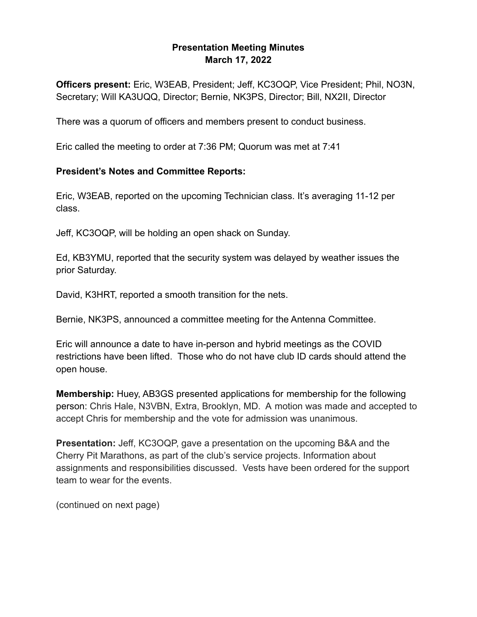## **Presentation Meeting Minutes March 17, 2022**

**Officers present:** Eric, W3EAB, President; Jeff, KC3OQP, Vice President; Phil, NO3N, Secretary; Will KA3UQQ, Director; Bernie, NK3PS, Director; Bill, NX2II, Director

There was a quorum of officers and members present to conduct business.

Eric called the meeting to order at 7:36 PM; Quorum was met at 7:41

## **President's Notes and Committee Reports:**

Eric, W3EAB, reported on the upcoming Technician class. It's averaging 11-12 per class.

Jeff, KC3OQP, will be holding an open shack on Sunday.

Ed, KB3YMU, reported that the security system was delayed by weather issues the prior Saturday.

David, K3HRT, reported a smooth transition for the nets.

Bernie, NK3PS, announced a committee meeting for the Antenna Committee.

Eric will announce a date to have in-person and hybrid meetings as the COVID restrictions have been lifted. Those who do not have club ID cards should attend the open house.

**Membership:** Huey, AB3GS presented applications for membership for the following person: Chris Hale, N3VBN, Extra, Brooklyn, MD. A motion was made and accepted to accept Chris for membership and the vote for admission was unanimous.

**Presentation:** Jeff, KC3OQP, gave a presentation on the upcoming B&A and the Cherry Pit Marathons, as part of the club's service projects. Information about assignments and responsibilities discussed. Vests have been ordered for the support team to wear for the events.

(continued on next page)